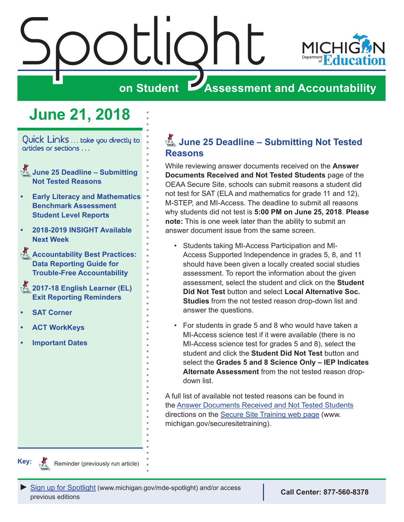<span id="page-0-0"></span>

# **on Student Assessment and Accountability**

# **June 21, 2018**

Quick Links . . . take you directly to articles or sections . . .

- Reminders **June 25 Deadline Submitting Not Tested Reasons**
- **• [Early Literacy and Mathematics](#page-1-0)  [Benchmark Assessment](#page-1-0)  [Student Level Reports](#page-1-0)**
- **• [2018-2019 INSIGHT Available](#page-2-0)  [Next Week](#page-2-0)**
- **Accountability Best Practices: [Data Reporting Guide for](#page-2-0)  [Trouble-Free Accountability](#page-2-0)**
- Reminders **[2017-18 English Learner \(EL\)](#page-2-0)  [Exit Reporting Reminders](#page-2-0)**
- **• [SAT Corner](#page-4-0)**
- **• [ACT WorkKeys](#page-6-0)**
- **• [Important Dates](#page-8-0)**

## Reminders **June 25 Deadline – Submitting Not Tested Reasons**

While reviewing answer documents received on the **Answer Documents Received and Not Tested Students** page of the OEAA Secure Site, schools can submit reasons a student did not test for SAT (ELA and mathematics for grade 11 and 12), M-STEP, and MI-Access. The deadline to submit all reasons why students did not test is **5:00 PM on June 25, 2018**. **Please note:** This is one week later than the ability to submit an answer document issue from the same screen.

- Students taking MI-Access Participation and MI-Access Supported Independence in grades 5, 8, and 11 should have been given a locally created social studies assessment. To report the information about the given assessment, select the student and click on the **Student Did Not Test** button and select **Local Alternative Soc. Studies** from the not tested reason drop-down list and answer the questions.
- For students in grade 5 and 8 who would have taken a MI-Access science test if it were available (there is no MI-Access science test for grades 5 and 8), select the student and click the **Student Did Not Test** button and select the **Grades 5 and 8 Science Only – IEP Indicates Alternate Assessment** from the not tested reason dropdown list.

A full list of available not tested reasons can be found in the [Answer Documents Received and Not Tested Students](https://www.michigan.gov/documents/mde/Answer_Documents_Received_and_Not_Tested_Students_instructions_623116_7.pdf) directions on the [Secure Site Training web page](http://www.michigan.gov/securesitetraining) (www. michigan.gov/securesitetraining).



Reminder (previously run article)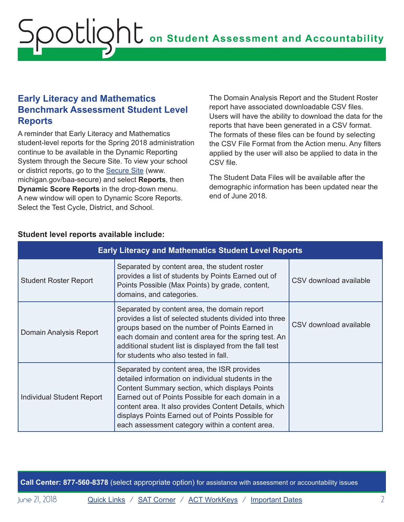# <span id="page-1-0"></span>**on Student Assessment and Accountability** Spotlight

### **Early Literacy and Mathematics Benchmark Assessment Student Level Reports**

A reminder that Early Literacy and Mathematics student-level reports for the Spring 2018 administration continue to be available in the Dynamic Reporting System through the Secure Site. To view your school or district reports, go to the [Secure Site](http://www.michigan.gov/oeaa-secure) (www. michigan.gov/baa-secure) and select **Reports**, then **Dynamic Score Reports** in the drop-down menu. A new window will open to Dynamic Score Reports. Select the Test Cycle, District, and School.

The Domain Analysis Report and the Student Roster report have associated downloadable CSV files. Users will have the ability to download the data for the reports that have been generated in a CSV format. The formats of these files can be found by selecting the CSV File Format from the Action menu. Any filters applied by the user will also be applied to data in the CSV file.

The Student Data Files will be available after the demographic information has been updated near the end of June 2018.

| <b>Early Literacy and Mathematics Student Level Reports</b> |                                                                                                                                                                                                                                                                                                                                                                            |                        |
|-------------------------------------------------------------|----------------------------------------------------------------------------------------------------------------------------------------------------------------------------------------------------------------------------------------------------------------------------------------------------------------------------------------------------------------------------|------------------------|
| <b>Student Roster Report</b>                                | Separated by content area, the student roster<br>provides a list of students by Points Earned out of<br>Points Possible (Max Points) by grade, content,<br>domains, and categories.                                                                                                                                                                                        | CSV download available |
| Domain Analysis Report                                      | Separated by content area, the domain report<br>provides a list of selected students divided into three<br>groups based on the number of Points Earned in<br>each domain and content area for the spring test. An<br>additional student list is displayed from the fall test<br>for students who also tested in fall.                                                      | CSV download available |
| <b>Individual Student Report</b>                            | Separated by content area, the ISR provides<br>detailed information on individual students in the<br>Content Summary section, which displays Points<br>Earned out of Points Possible for each domain in a<br>content area. It also provides Content Details, which<br>displays Points Earned out of Points Possible for<br>each assessment category within a content area. |                        |

#### **Student level reports available include:**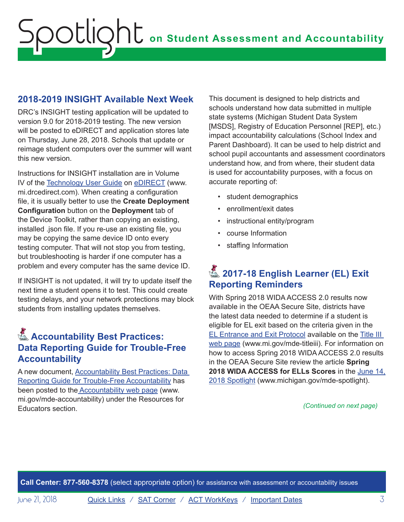### <span id="page-2-0"></span>**2018-2019 INSIGHT Available Next Week**

DRC's INSIGHT testing application will be updated to version 9.0 for 2018-2019 testing. The new version will be posted to eDIRECT and application stores late on Thursday, June 28, 2018. Schools that update or reimage student computers over the summer will want this new version.

Instructions for INSIGHT installation are in Volume IV of the [Technology User Guide](https://mi.drcedirect.com/Documents/Unsecure/Doc.aspx?id=94140c4d-7ed3-4bc7-9a7c-a010a054641f) on [eDIRECT](https://mi.drcedirect.com) (www. mi.drcedirect.com). When creating a configuration file, it is usually better to use the **Create Deployment Configuration** button on the **Deployment** tab of the Device Toolkit, rather than copying an existing, installed .json file. If you re-use an existing file, you may be copying the same device ID onto every testing computer. That will not stop you from testing, but troubleshooting is harder if one computer has a problem and every computer has the same device ID.

If INSIGHT is not updated, it will try to update itself the next time a student opens it to test. This could create testing delays, and your network protections may block students from installing updates themselves.

## **Accountability Best Practices: Data Reporting Guide for Trouble-Free Accountability**

A new document, [Accountability Best Practices: Data](https://www.michigan.gov/documents/mde/Accountability_Best_Practices_625027_7.pdf)  [Reporting Guide for Trouble-Free Accountability](https://www.michigan.gov/documents/mde/Accountability_Best_Practices_625027_7.pdf) has been posted to th[e Accountability web page](http://www.mi.gov/mde-accountability) (www. mi.gov/mde-accountability) under the Resources for Educators section. *(Continued on next page)*

This document is designed to help districts and schools understand how data submitted in multiple state systems (Michigan Student Data System [MSDS], Registry of Education Personnel [REP], etc.) impact accountability calculations (School Index and Parent Dashboard). It can be used to help district and school pupil accountants and assessment coordinators understand how, and from where, their student data is used for accountability purposes, with a focus on accurate reporting of:

- student demographics
- enrollment/exit dates
- instructional entity/program
- course Information
- staffing Information

# **A** 2017-18 English Learner (EL) Exit **Reporting Reminders**

With Spring 2018 WIDA ACCESS 2.0 results now available in the OEAA Secure Site, districts have the latest data needed to determine if a student is eligible for EL exit based on the criteria given in the [EL Entrance and Exit Protocol](https://www.michigan.gov/documents/mde/Entrance_and_Exit_Protocol_updated_May_2016_550634_7.pdf) available on the [Title III](http://www.mi.gov/mde-titleiii)  [web page](http://www.mi.gov/mde-titleiii) (www.mi.gov/mde-titleiii). For information on how to access Spring 2018 WIDA ACCESS 2.0 results in the OEAA Secure Site review the article **Spring 2018 WIDA ACCESS for ELLs Scores** in the [June 14,](https://www.michigan.gov/documents/mde/Spotlight_6-14-18_625505_7.pdf) [2018 Spotlight](https://www.michigan.gov/documents/mde/Spotlight_6-14-18_625505_7.pdf) (www.michigan.gov/mde-spotlight).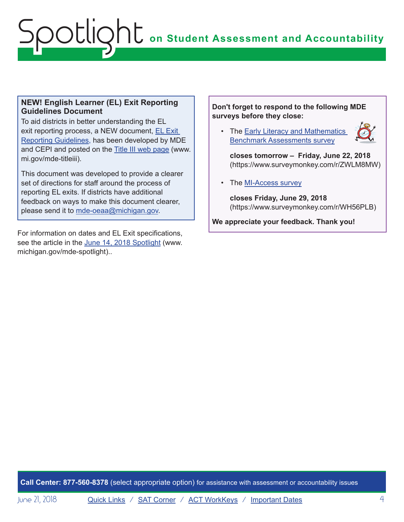# **on Student Assessment and Accountability** Spotlight

#### **NEW! English Learner (EL) Exit Reporting Guidelines Document**

To aid districts in better understanding the EL exit reporting process, a NEW document, [EL Exit](https://www.michigan.gov/documents/mde/English_Learner_EL_Exit_Reporting_Guidelines_624626_7.pdf)  [Reporting Guidelines,](https://www.michigan.gov/documents/mde/English_Learner_EL_Exit_Reporting_Guidelines_624626_7.pdf) has been developed by MDE and CEPI and posted on the [Title III web page](http://www.mi.gov/mde-titleiii) (www. mi.gov/mde-titleiii).

This document was developed to provide a clearer set of directions for staff around the process of reporting EL exits. If districts have additional feedback on ways to make this document clearer, please send it to [mde-oeaa@michigan.gov.](mailto:mde-oeaa%40michigan.gov?subject=)

For information on dates and EL Exit specifications, see the article in the [June 14, 2018 Spotlight](https://www.michigan.gov/documents/mde/Spotlight_6-14-18_625505_7.pdf) (www. michigan.gov/mde-spotlight)..

#### **Don't forget to respond to the following MDE surveys before they close:**

• The **Early Literacy and Mathematics** [Benchmark Assessments survey](https://www.surveymonkey.com/r/ZWLM8MW) 



**closes tomorrow – Friday, June 22, 2018** (https://www.surveymonkey.com/r/ZWLM8MW)

• The [MI-Access survey](https://www.surveymonkey.com/r/WH56PLB)

**closes Friday, June 29, 2018** (https://www.surveymonkey.com/r/WH56PLB)

**We appreciate your feedback. Thank you!**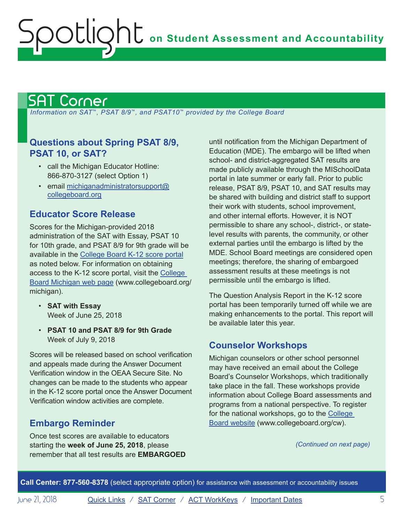# <span id="page-4-1"></span>SAT Corner

<span id="page-4-0"></span>Spotlight

 *Information on SAT*™*, PSAT 8/9*™*, and PSAT10*™ *provided by the College Board*

### **Questions about Spring PSAT 8/9, PSAT 10, or SAT?**

- call the Michigan Educator Hotline: 866-870-3127 (select Option 1)
- email [michiganadministratorsupport@](mailto:michiganadministratorsupport%40collegeboard.org?subject=) [collegeboard.org](mailto:michiganadministratorsupport%40collegeboard.org?subject=)

#### **Educator Score Release**

Scores for the Michigan-provided 2018 administration of the SAT with Essay, PSAT 10 for 10th grade, and PSAT 8/9 for 9th grade will be available in the [College Board K-12 score portal](https://k12reports.collegeboard.org/login) as noted below. For information on obtaining access to the K-12 score portal, visit the [College](http://www.act.org/stateanddistrict/michigan)  [Board Michigan web page](http://www.act.org/stateanddistrict/michigan) (www.collegeboard.org/ michigan).

- **SAT with Essay** Week of June 25, 2018
- **PSAT 10 and PSAT 8/9 for 9th Grade** Week of July 9, 2018

Scores will be released based on school verification and appeals made during the Answer Document Verification window in the OEAA Secure Site. No changes can be made to the students who appear in the K-12 score portal once the Answer Document Verification window activities are complete.

### **Embargo Reminder**

Once test scores are available to educators starting the **week of June 25, 2018**, please remember that all test results are **EMBARGOED**

until notification from the Michigan Department of Education (MDE). The embargo will be lifted when school- and district-aggregated SAT results are made publicly available through the MISchoolData portal in late summer or early fall. Prior to public release, PSAT 8/9, PSAT 10, and SAT results may be shared with building and district staff to support their work with students, school improvement, and other internal efforts. However, it is NOT permissible to share any school-, district-, or statelevel results with parents, the community, or other external parties until the embargo is lifted by the MDE. School Board meetings are considered open meetings; therefore, the sharing of embargoed assessment results at these meetings is not permissible until the embargo is lifted.

The Question Analysis Report in the K-12 score portal has been temporarily turned off while we are making enhancements to the portal. This report will be available later this year.

### **Counselor Workshops**

Michigan counselors or other school personnel may have received an email about the College Board's Counselor Workshops, which traditionally take place in the fall. These workshops provide information about College Board assessments and programs from a national perspective. To register for the national workshops, go to the [College](http://www.collegeboard.org/cw)  [Board website](http://www.collegeboard.org/cw) (www.collegeboard.org/cw).

*(Continued on next page)*

**Call Center: 877-560-8378** (select appropriate option) for assistance with assessment or accountability issues

June 21, 2018 **[Quick Links](#page-0-0)** / **[SAT Corner](#page-4-1)** / **[ACT WorkKeys](#page-6-1)** / **[Important Dates](#page-8-1)** 5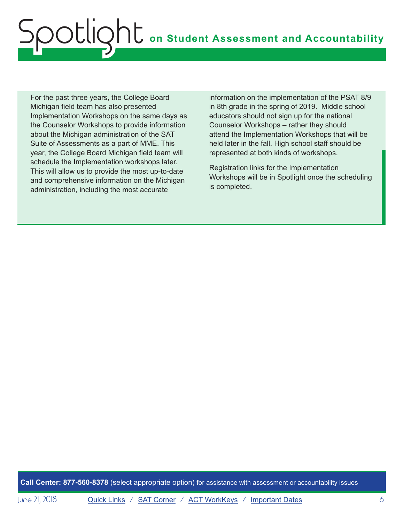# **on Student Assessment and Accountability** Spotlight

For the past three years, the College Board Michigan field team has also presented Implementation Workshops on the same days as the Counselor Workshops to provide information about the Michigan administration of the SAT Suite of Assessments as a part of MME. This year, the College Board Michigan field team will schedule the Implementation workshops later. This will allow us to provide the most up-to-date and comprehensive information on the Michigan administration, including the most accurate

information on the implementation of the PSAT 8/9 in 8th grade in the spring of 2019. Middle school educators should not sign up for the national Counselor Workshops – rather they should attend the Implementation Workshops that will be held later in the fall. High school staff should be represented at both kinds of workshops.

Registration links for the Implementation Workshops will be in Spotlight once the scheduling is completed.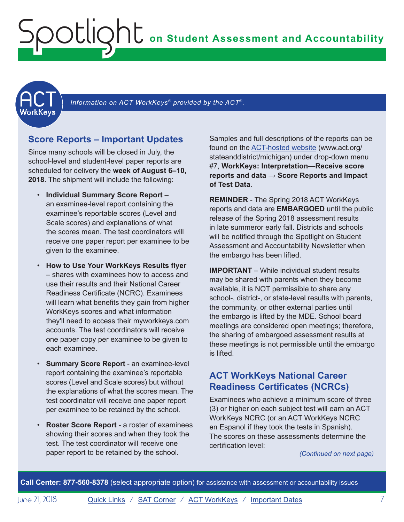**on Student Assessment and Accountability**

<span id="page-6-1"></span>

<span id="page-6-0"></span>ootlic

Information on ACT WorkKeys<sup>®</sup> provided by the ACT<sup>®</sup>.

#### **Score Reports – Important Updates**

Since many schools will be closed in July, the school-level and student-level paper reports are scheduled for delivery the **week of August 6–10, 2018**. The shipment will include the following:

- **Individual Summary Score Report** an examinee-level report containing the examinee's reportable scores (Level and Scale scores) and explanations of what the scores mean. The test coordinators will receive one paper report per examinee to be given to the examinee.
- **How to Use Your WorkKeys Results flyer** – shares with examinees how to access and use their results and their National Career Readiness Certificate (NCRC). Examinees will learn what benefits they gain from higher WorkKeys scores and what information they'll need to access their myworkkeys.com accounts. The test coordinators will receive one paper copy per examinee to be given to each examinee.
- **Summary Score Report** an examinee-level report containing the examinee's reportable scores (Level and Scale scores) but without the explanations of what the scores mean. The test coordinator will receive one paper report per examinee to be retained by the school.
- **Roster Score Report**  a roster of examinees showing their scores and when they took the test. The test coordinator will receive one paper report to be retained by the school.

Samples and full descriptions of the reports can be found on the [ACT-hosted website](http://www.act.org/stateanddistrict/michigan) (www.act.org/ stateanddistrict/michigan) under drop-down menu #7, **WorkKeys: Interpretation—Receive score reports and data** → **Score Reports and Impact of Test Data**.

**REMINDER** - The Spring 2018 ACT WorkKeys reports and data are **EMBARGOED** until the public release of the Spring 2018 assessment results in late summeror early fall. Districts and schools will be notified through the Spotlight on Student Assessment and Accountability Newsletter when the embargo has been lifted.

**IMPORTANT** – While individual student results may be shared with parents when they become available, it is NOT permissible to share any school-, district-, or state-level results with parents, the community, or other external parties until the embargo is lifted by the MDE. School board meetings are considered open meetings; therefore, the sharing of embargoed assessment results at these meetings is not permissible until the embargo is lifted.

#### **ACT WorkKeys National Career Readiness Certificates (NCRCs)**

Examinees who achieve a minimum score of three (3) or higher on each subject test will earn an ACT WorkKeys NCRC (or an ACT WorkKeys NCRC en Espanol if they took the tests in Spanish). The scores on these assessments determine the certification level:

*(Continued on next page)*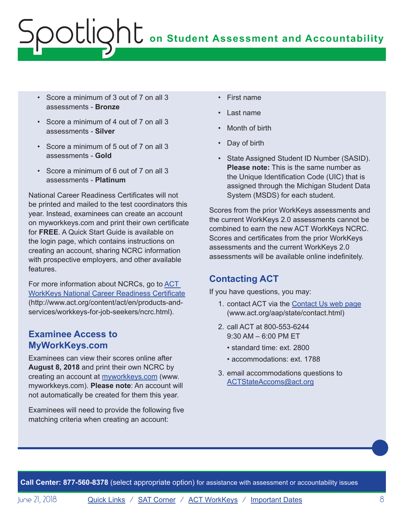# **ONE** on Student Assessment and Accountability potlic

- Score a minimum of 3 out of 7 on all 3 assessments - **Bronze**
- Score a minimum of 4 out of 7 on all 3 assessments - **Silver**
- Score a minimum of 5 out of 7 on all 3 assessments - **Gold**
- Score a minimum of 6 out of 7 on all 3 assessments - **Platinum**

National Career Readiness Certificates will not be printed and mailed to the test coordinators this year. Instead, examinees can create an account on myworkkeys.com and print their own certificate for **FREE**. A Quick Start Guide is available on the login page, which contains instructions on creating an account, sharing NCRC information with prospective employers, and other available features.

For more information about NCRCs, go to [ACT](http://www.act.org/content/act/en/products-and-services/workkeys-for-job-seekers/ncrc.html)  [WorkKeys National Career Readiness Certificate](http://www.act.org/content/act/en/products-and-services/workkeys-for-job-seekers/ncrc.html) (http://www.act.org/content/act/en/products-andservices/workkeys-for-job-seekers/ncrc.html).

#### **Examinee Access to MyWorkKeys.com**

Examinees can view their scores online after **August 8, 2018** and print their own NCRC by creating an account at [myworkkeys.com](https://myworkkeys.act.org/mwk/login.do?event=go&realm#_ga=2.149242358.1968983958.1529585230-1490974572.1524164297) (www. myworkkeys.com). **Please note**: An account will not automatically be created for them this year.

Examinees will need to provide the following five matching criteria when creating an account:

- First name
- Last name
- Month of birth
- Day of birth
- State Assigned Student ID Number (SASID). **Please note:** This is the same number as the Unique Identification Code (UIC) that is assigned through the Michigan Student Data System (MSDS) for each student.

Scores from the prior WorkKeys assessments and the current WorkKeys 2.0 assessments cannot be combined to earn the new ACT WorkKeys NCRC. Scores and certificates from the prior WorkKeys assessments and the current WorkKeys 2.0 assessments will be available online indefinitely.

### **Contacting ACT**

If you have questions, you may:

- 1. contact ACT via the [Contact Us web page](http://www.act.org/aap/state/contact.html) (<www.act.org/aap/state/contact.html>)
- 2. call ACT at 800-553-6244 9:30 AM – 6:00 PM ET
	- standard time: ext. 2800
	- accommodations: ext. 1788
- 3. email accommodations questions to [ACTStateAccoms@act.org](mailto:ACTStateAccoms%40act.org?subject=)